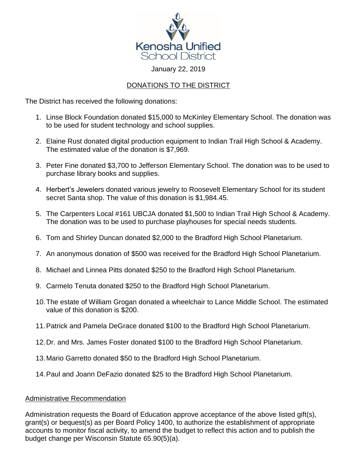

## January 22, 2019

## DONATIONS TO THE DISTRICT

The District has received the following donations:

- 1. Linse Block Foundation donated \$15,000 to McKinley Elementary School. The donation was to be used for student technology and school supplies.
- 2. Elaine Rust donated digital production equipment to Indian Trail High School & Academy. The estimated value of the donation is \$7,969.
- 3. Peter Fine donated \$3,700 to Jefferson Elementary School. The donation was to be used to purchase library books and supplies.
- 4. Herbert's Jewelers donated various jewelry to Roosevelt Elementary School for its student secret Santa shop. The value of this donation is \$1,984.45.
- 5. The Carpenters Local #161 UBCJA donated \$1,500 to Indian Trail High School & Academy. The donation was to be used to purchase playhouses for special needs students.
- 6. Tom and Shirley Duncan donated \$2,000 to the Bradford High School Planetarium.
- 7. An anonymous donation of \$500 was received for the Bradford High School Planetarium.
- 8. Michael and Linnea Pitts donated \$250 to the Bradford High School Planetarium.
- 9. Carmelo Tenuta donated \$250 to the Bradford High School Planetarium.
- 10.The estate of William Grogan donated a wheelchair to Lance Middle School. The estimated value of this donation is \$200.
- 11.Patrick and Pamela DeGrace donated \$100 to the Bradford High School Planetarium.
- 12.Dr. and Mrs. James Foster donated \$100 to the Bradford High School Planetarium.
- 13.Mario Garretto donated \$50 to the Bradford High School Planetarium.
- 14.Paul and Joann DeFazio donated \$25 to the Bradford High School Planetarium.

## Administrative Recommendation

Administration requests the Board of Education approve acceptance of the above listed gift(s), grant(s) or bequest(s) as per Board Policy 1400, to authorize the establishment of appropriate accounts to monitor fiscal activity, to amend the budget to reflect this action and to publish the budget change per Wisconsin Statute 65.90(5)(a).